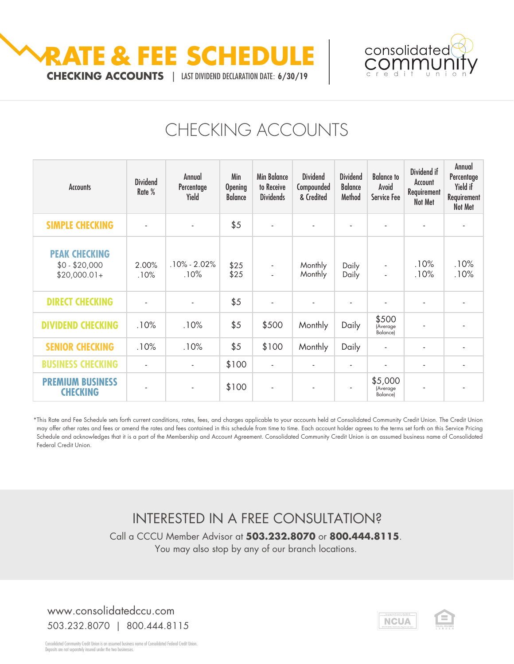



## CHECKING ACCOUNTS

| <b>Accounts</b>                                         | <b>Dividend</b><br>Rate % | Annual<br>Percentage<br>Yield | Min<br><b>Opening</b><br><b>Balance</b> | <b>Min Balance</b><br>to Receive<br><b>Dividends</b> | <b>Dividend</b><br>Compounded<br>& Credited | <b>Dividend</b><br><b>Balance</b><br>Method | <b>Balance to</b><br>Avoid<br><b>Service Fee</b> | Dividend if<br>Account<br>Requirement<br>Not Met | Annual<br>Percentage<br>Yield if<br>Requirement<br>Not Met |
|---------------------------------------------------------|---------------------------|-------------------------------|-----------------------------------------|------------------------------------------------------|---------------------------------------------|---------------------------------------------|--------------------------------------------------|--------------------------------------------------|------------------------------------------------------------|
| <b>SIMPLE CHECKING</b>                                  |                           |                               | \$5                                     |                                                      |                                             |                                             |                                                  |                                                  |                                                            |
| <b>PEAK CHECKING</b><br>$$0 - $20,000$<br>$$20,000.01+$ | 2.00%<br>.10%             | $.10\% - 2.02\%$<br>.10%      | \$25<br>\$25                            | $\blacksquare$                                       | Monthly<br>Monthly                          | Daily<br>Daily                              | $\blacksquare$<br>$\blacksquare$                 | .10%<br>.10%                                     | .10%<br>.10%                                               |
| <b>DIRECT CHECKING</b>                                  |                           |                               | \$5                                     |                                                      | $\overline{\phantom{a}}$                    |                                             |                                                  |                                                  |                                                            |
| <b>DIVIDEND CHECKING</b>                                | .10%                      | .10%                          | \$5                                     | \$500                                                | Monthly                                     | Daily                                       | \$500<br>(Average<br>Balance)                    |                                                  |                                                            |
| <b>SENIOR CHECKING</b>                                  | .10%                      | .10%                          | \$5                                     | \$100                                                | Monthly                                     | Daily                                       | $\overline{a}$                                   |                                                  |                                                            |
| <b>BUSINESS CHECKING</b>                                | $\overline{\phantom{a}}$  | $\overline{\phantom{a}}$      | \$100                                   | $\blacksquare$                                       | ٠                                           | $\overline{\phantom{a}}$                    | ٠                                                | ٠                                                | ٠                                                          |
| <b>PREMIUM BUSINESS</b><br><b>CHECKING</b>              | $\overline{\phantom{a}}$  | $\overline{\phantom{a}}$      | \$100                                   | $\overline{\phantom{a}}$                             | $\overline{\phantom{a}}$                    |                                             | \$5,000<br>(Average<br>Balance)                  |                                                  |                                                            |

\*This Rate and Fee Schedule sets forth current conditions, rates, fees, and charges applicable to your accounts held at Consolidated Community Credit Union. The Credit Union may offer other rates and fees or amend the rates and fees contained in this schedule from time to time. Each account holder agrees to the terms set forth on this Service Pricing Schedule and acknowledges that it is a part of the Membership and Account Agreement. Consolidated Community Credit Union is an assumed business name of Consolidated Federal Credit Union.

INTERESTED IN A FREE CONSULTATION?

Call a CCCU Member Advisor at **503.232.8070** or **800.444.8115**.

You may also stop by any of our branch locations.

www.consolidatedccu.com 503.232.8070 | 800.444.8115